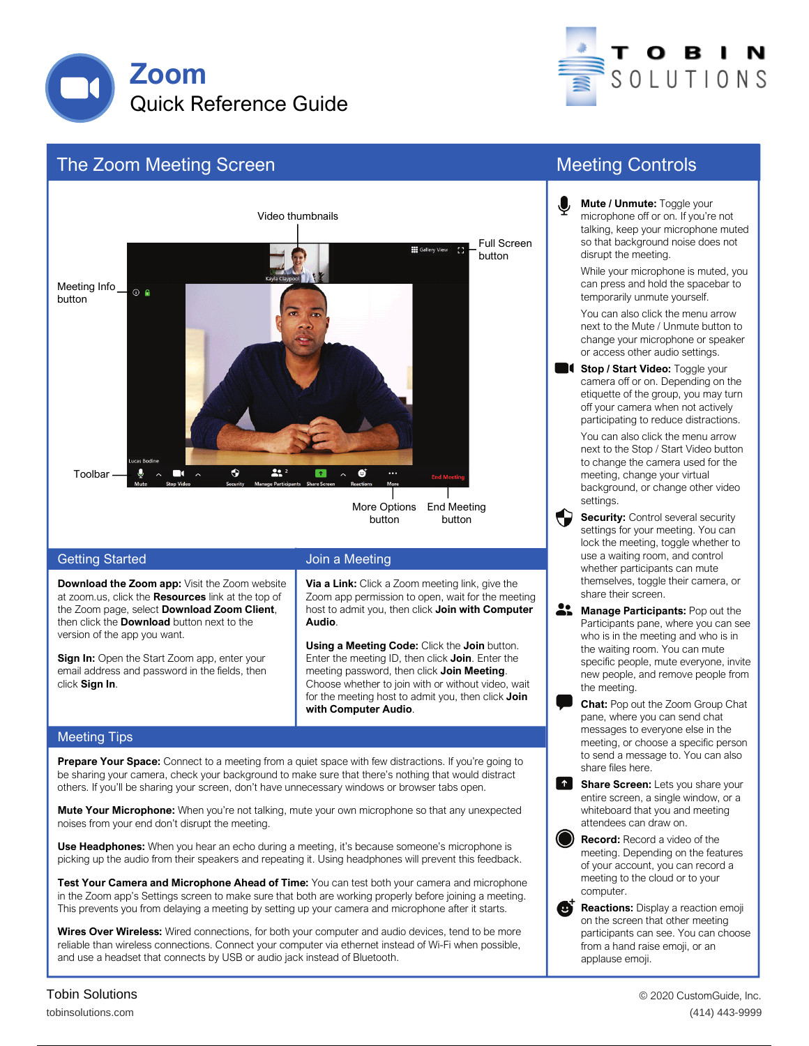



## The Zoom Meeting Screen



#### Getting Started

**Download the Zoom app:** Visit the Zoom website at zoom.us, click the **Resources** link at the top of the Zoom page, select **Download Zoom Client**, then click the **Download** button next to the version of the app you want.

**Sign In:** Open the Start Zoom app, enter your email address and password in the fields, then click **Sign In**.

#### Join a Meeting

**Via a Link:** Click a Zoom meeting link, give the Zoom app permission to open, wait for the meeting host to admit you, then click **Join with Computer Audio** .

**Using a Meeting Code:** Click the **Join** button. Enter the meeting ID, then click **Join**. Enter the meeting password, then click **Join Meeting**. Choose whether to join with or without video, wait for the meeting host to admit you, then click **Join with Computer Audio**.

### Meeting Tips

**Prepare Your Space:** Connect to a meeting from a quiet space with few distractions. If you're going to be sharing your camera, check your background to make sure that there's nothing that would distract others. If you'll be sharing your screen, don't have unnecessary windows or browser tabs open.

**Mute Your Microphone:** When you're not talking, mute your own microphone so that any unexpected noise s from your end don't disrupt the meeting.

**Use Headphones:** When you hear an echo during a meeting, it's because someone's microphone is picking up the audio from their speakers and repeating it. Using headphones will prevent this feedback.

**Test Your Camera and Microphone Ahead of Time:** You can test both your camera and microphone in the Zoom app's Settings screen to make sure that both are working properly before joining a meeting. This prevents you from delaying a meeting by setting up your camera and microphone after it starts .

**Wires Over Wireless:** Wired connections, for both your computer and audio devices, tend to be more reliable than wireless connections. Connect your computer via ethernet instead of Wi -Fi when possible, and use a headset that connects by USB or audio jack instead of Bluetooth.

## Meeting Controls

**Mute / Unmute:** Toggle your microphone off or on. If you're not talking, keep your microphone muted so that background noise does not disrupt the meeting.

While your microphone is muted, you can press and hold the spacebar to temporarily unmute yourself.

You can also click the menu arrow next to the Mute / Unmute button to change your microphone or speaker or access other audio settings.

**Stop / Start Video:** Toggle your camera off or on. Depending on the etiquette of the group, you may turn off your camera when not actively participating to reduce distractions.

You can also click the menu arrow next to the Stop / Start Video button to change the camera used for the meeting, change your virtual background, or change other video settings.

**Security:** Control several security settings for your meeting. You can lock the meeting, toggle whether to use a waiting room, and control whether participants can mute themselves, toggle their camera, or share their screen.

- <u>..</u> **Manage Participants:** Pop out the Participants pane, where you can see who is in the meeting and who is in the waiting room. You can mute specific people, mute everyone, invite new people, and remove people from the meeting.
	- **Chat:** Pop out the Zoom Group Chat pane, where you can send chat messages to everyone else in the meeting, or choose a specific person to send a message to. You can also share files here.
- **Share Screen:** Lets you share your entire screen, a single window, or a whiteboard that you and meeting attendees can draw on.

**Record:** Record a video of the meeting. Depending on the features of your account, you can record a meeting to the cloud or to your computer.



**Reactions:** Display a reaction emoji on the screen that other meeting participants can see. You can choose from a hand raise emoji, or an applause emoji.